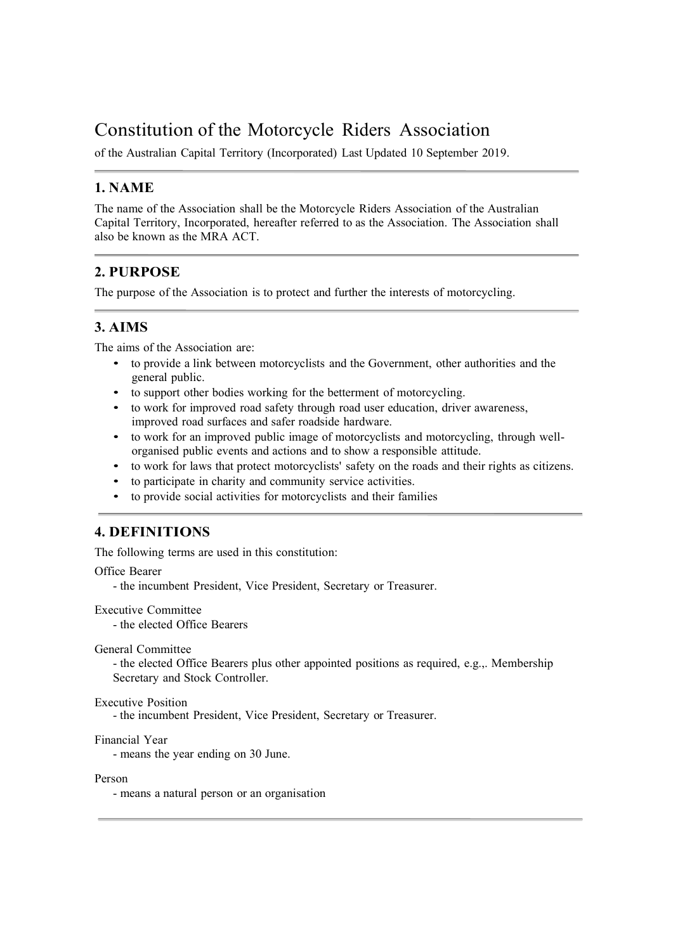# Constitution of the Motorcycle Riders Association

of the Australian Capital Territory (Incorporated) Last Updated 10 September 2019.

### 1. NAME

The name of the Association shall be the Motorcycle Riders Association of the Australian Capital Territory, Incorporated, hereafter referred to as the Association. The Association shall also be known as the MRA ACT.

# 2. PURPOSE

The purpose of the Association is to protect and further the interests of motorcycling.

### 3. AIMS

The aims of the Association are:

- to provide a link between motorcyclists and the Government, other authorities and the general public. • to support other bodies working for the betterment of motorcycling. • to work for improved road safety through road user education, driver awareness,
- 
- 
- to work for an improved public image of motorcyclists and motorcycling, through well-<br>organised public events and actions and to show a responsible attitude.
- to work for laws that protect motorcyclists' safety on the roads and their rights as citizens.<br>• to participate in charity and community service activities.<br>• to provide social activities for motorcyclists and their fami
- 
- 

# 4. DEFINITIONS

The following terms are used in this constitution:

Office Bearer

- the incumbent President, Vice President, Secretary or Treasurer.

Executive Committee

- the elected Office Bearers

General Committee

- the elected Office Bearers plus other appointed positions as required, e.g.,. Membership Secretary and Stock Controller.

#### Executive Position

- the incumbent President, Vice President, Secretary or Treasurer.

```
Financial Year
```
- means the year ending on 30 June.

Person

- means a natural person or an organisation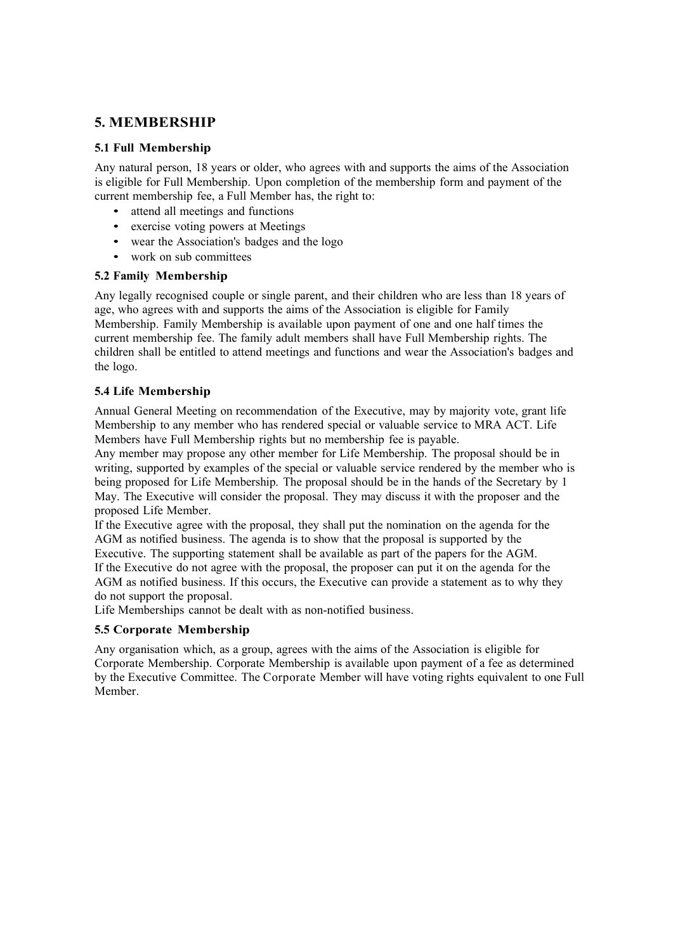### 5. MEMBERSHIP

#### 5.1 Full Membership

Any natural person, 18 years or older, who agrees with and supports the aims of the Association is eligible for Full Membership. Upon completion of the membership form and payment of the current membership fee, a Full Member has, the right to:<br>• attend all meetings and functions

- 
- exercise voting powers at Meetings
- wear the Association's badges and the logo
- work on sub committees

#### 5.2 Family Membership

Any legally recognised couple or single parent, and their children who are less than 18 years of age, who agrees with and supports the aims of the Association is eligible for Family Membership. Family Membership is available upon payment of one and one half times the current membership fee. The family adult members shall have Full Membership rights. The children shall be entitled to attend meetings and functions and wear the Association's badges and the logo.

### 5.4 Life Membership

Annual General Meeting on recommendation of the Executive, may by majority vote, grant life Membership to any member who has rendered special or valuable service to MRA ACT. Life Members have Full Membership rights but no membership fee is payable.

Any member may propose any other member for Life Membership. The proposal should be in writing, supported by examples of the special or valuable service rendered by the member who is being proposed for Life Membership. The proposal should be in the hands of the Secretary by 1 May. The Executive will consider the proposal. They may discuss it with the proposer and the proposed Life Member.

If the Executive agree with the proposal, they shall put the nomination on the agenda for the AGM as notified business. The agenda is to show that the proposal is supported by the Executive. The supporting statement shall be available as part of the papers for the AGM. If the Executive do not agree with the proposal, the proposer can put it on the agenda for the AGM as notified business. If this occurs, the Executive can provide a statement as to why they do not support the proposal.

Life Memberships cannot be dealt with as non-notified business.

### 5.5 Corporate Membership

Any organisation which, as a group, agrees with the aims of the Association is eligible for Corporate Membership. Corporate Membership is available upon payment of a fee as determined by the Executive Committee. The Corporate Member will have voting rights equivalent to one Full Member.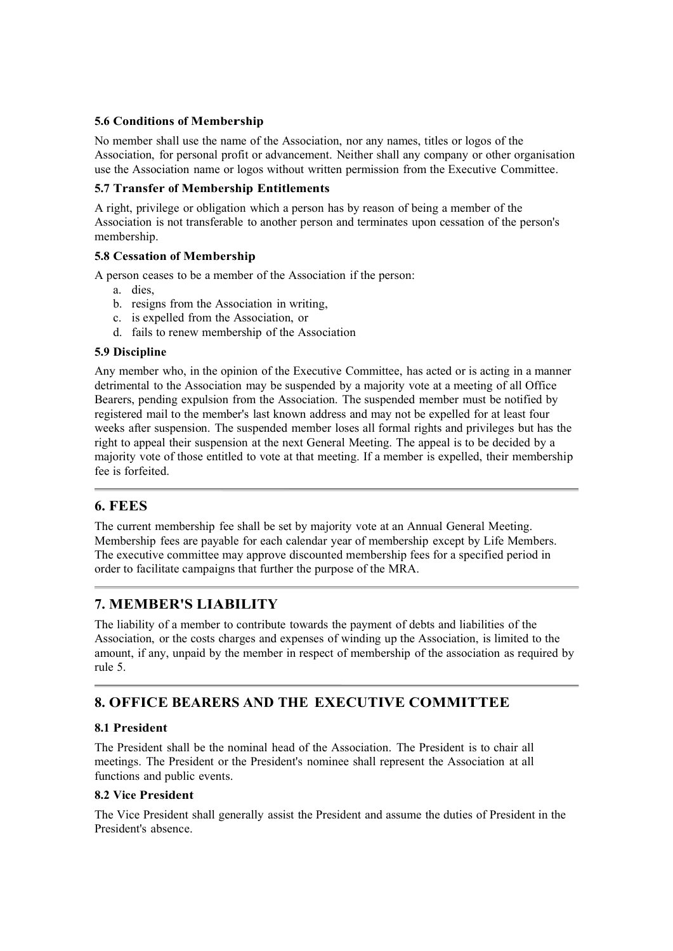#### 5.6 Conditions of Membership

No member shall use the name of the Association, nor any names, titles or logos of the Association, for personal profit or advancement. Neither shall any company or other organisation use the Association name or logos without written permission from the Executive Committee.

#### 5.7 Transfer of Membership Entitlements

A right, privilege or obligation which a person has by reason of being a member of the Association is not transferable to another person and terminates upon cessation of the person's membership.

### 5.8 Cessation of Membership

A person ceases to be a member of the Association if the person:

- a. dies,
- b. resigns from the Association in writing,
- c. is expelled from the Association, or
- d. fails to renew membership of the Association

#### 5.9 Discipline

Any member who, in the opinion of the Executive Committee, has acted or is acting in a manner detrimental to the Association may be suspended by a majority vote at a meeting of all Office Bearers, pending expulsion from the Association. The suspended member must be notified by registered mail to the member's last known address and may not be expelled for at least four weeks after suspension. The suspended member loses all formal rights and privileges but has the right to appeal their suspension at the next General Meeting. The appeal is to be decided by a majority vote of those entitled to vote at that meeting. If a member is expelled, their membership fee is forfeited.

### 6. FEES

The current membership fee shall be set by majority vote at an Annual General Meeting. Membership fees are payable for each calendar year of membership except by Life Members. The executive committee may approve discounted membership fees for a specified period in order to facilitate campaigns that further the purpose of the MRA.

# 7. MEMBER'S LIABILITY

The liability of a member to contribute towards the payment of debts and liabilities of the Association, or the costs charges and expenses of winding up the Association, is limited to the amount, if any, unpaid by the member in respect of membership of the association as required by rule 5.

# 8. OFFICE BEARERS AND THE EXECUTIVE COMMITTEE

### 8.1 President

The President shall be the nominal head of the Association. The President is to chair all meetings. The President or the President's nominee shall represent the Association at all functions and public events.

### 8.2 Vice President

The Vice President shall generally assist the President and assume the duties of President in the President's absence.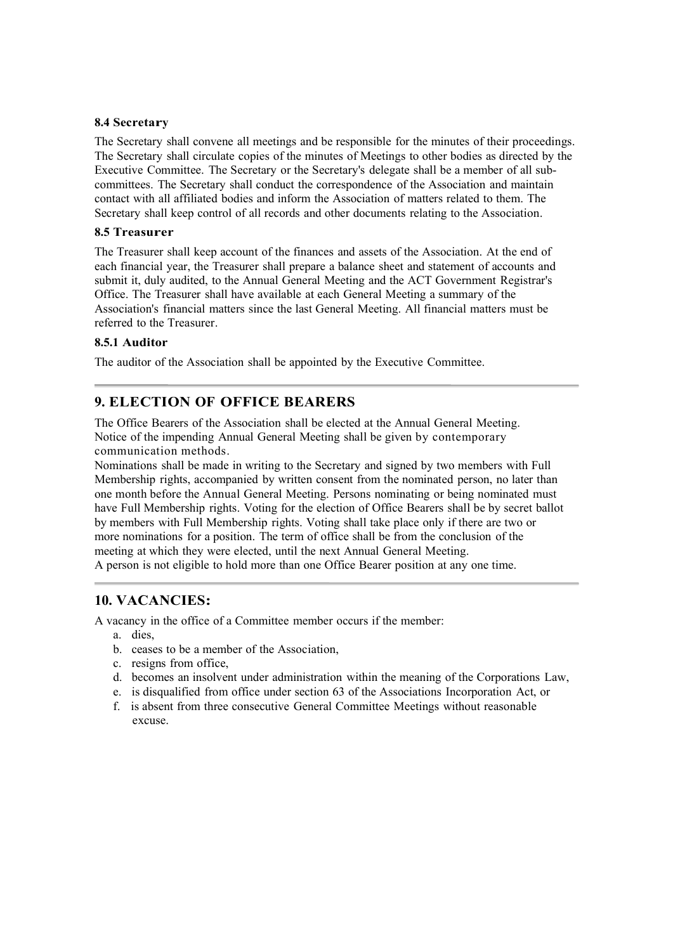#### 8.4 Secretary

The Secretary shall convene all meetings and be responsible for the minutes of their proceedings. The Secretary shall circulate copies of the minutes of Meetings to other bodies as directed by the Executive Committee. The Secretary or the Secretary's delegate shall be a member of all subcommittees. The Secretary shall conduct the correspondence of the Association and maintain contact with all affiliated bodies and inform the Association of matters related to them. The Secretary shall keep control of all records and other documents relating to the Association.

#### 8.5 Treasurer

The Treasurer shall keep account of the finances and assets of the Association. At the end of each financial year, the Treasurer shall prepare a balance sheet and statement of accounts and submit it, duly audited, to the Annual General Meeting and the ACT Government Registrar's Office. The Treasurer shall have available at each General Meeting a summary of the Association's financial matters since the last General Meeting. All financial matters must be referred to the Treasurer.

#### 8.5.1 Auditor

The auditor of the Association shall be appointed by the Executive Committee.

### 9. ELECTION OF OFFICE BEARERS

The Office Bearers of the Association shall be elected at the Annual General Meeting. Notice of the impending Annual General Meeting shall be given by contemporary communication methods.

Nominations shall be made in writing to the Secretary and signed by two members with Full Membership rights, accompanied by written consent from the nominated person, no later than one month before the Annual General Meeting. Persons nominating or being nominated must have Full Membership rights. Voting for the election of Office Bearers shall be by secret ballot by members with Full Membership rights. Voting shall take place only if there are two or more nominations for a position. The term of office shall be from the conclusion of the meeting at which they were elected, until the next Annual General Meeting.

A person is not eligible to hold more than one Office Bearer position at any one time.

### 10. VACANCIES:

A vacancy in the office of a Committee member occurs if the member:

- a. dies,
- b. ceases to be a member of the Association,
- c. resigns from office,
- d. becomes an insolvent under administration within the meaning of the Corporations Law,
- e. is disqualified from office under section 63 of the Associations Incorporation Act, or
- f. is absent from three consecutive General Committee Meetings without reasonable excuse.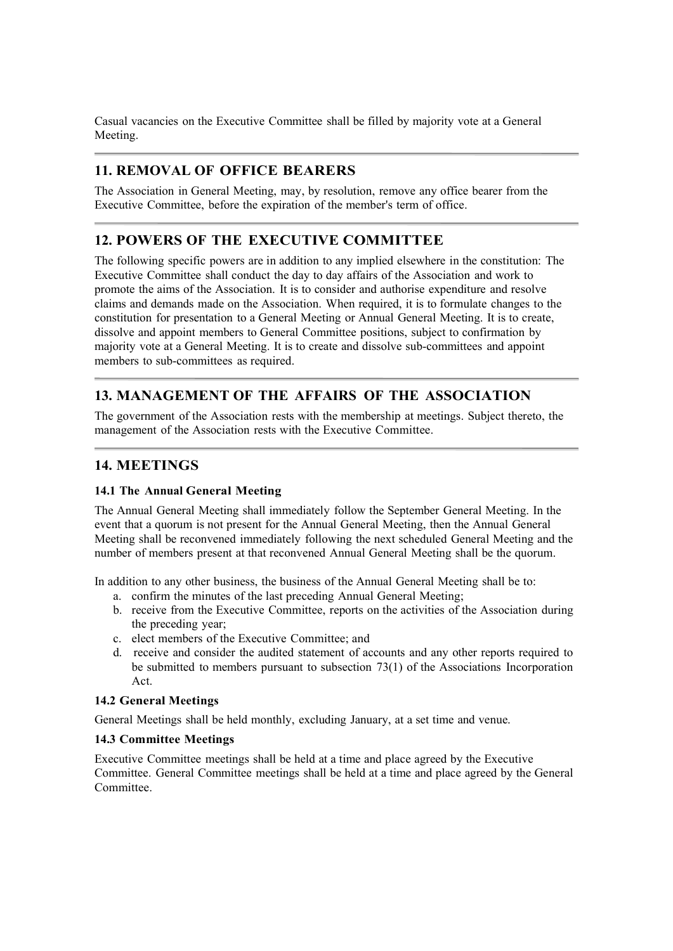Casual vacancies on the Executive Committee shall be filled by majority vote at a General Meeting.

# 11. REMOVAL OF OFFICE BEARERS

The Association in General Meeting, may, by resolution, remove any office bearer from the Executive Committee, before the expiration of the member's term of office.

### 12. POWERS OF THE EXECUTIVE COMMITTEE

The following specific powers are in addition to any implied elsewhere in the constitution: The Executive Committee shall conduct the day to day affairs of the Association and work to promote the aims of the Association. It is to consider and authorise expenditure and resolve claims and demands made on the Association. When required, it is to formulate changes to the constitution for presentation to a General Meeting or Annual General Meeting. It is to create, dissolve and appoint members to General Committee positions, subject to confirmation by majority vote at a General Meeting. It is to create and dissolve sub-committees and appoint members to sub-committees as required.

# 13. MANAGEMENT OF THE AFFAIRS OF THE ASSOCIATION

The government of the Association rests with the membership at meetings. Subject thereto, the management of the Association rests with the Executive Committee.

# 14. MEETINGS

### 14.1 The Annual General Meeting

The Annual General Meeting shall immediately follow the September General Meeting. In the event that a quorum is not present for the Annual General Meeting, then the Annual General Meeting shall be reconvened immediately following the next scheduled General Meeting and the number of members present at that reconvened Annual General Meeting shall be the quorum.

In addition to any other business, the business of the Annual General Meeting shall be to:

- a. confirm the minutes of the last preceding Annual General Meeting;
- b. receive from the Executive Committee, reports on the activities of the Association during the preceding year;
- c. elect members of the Executive Committee; and
- d. receive and consider the audited statement of accounts and any other reports required to be submitted to members pursuant to subsection 73(1) of the Associations Incorporation Act.

### 14.2 General Meetings

General Meetings shall be held monthly, excluding January, at a set time and venue.

### 14.3 Committee Meetings

Executive Committee meetings shall be held at a time and place agreed by the Executive Committee. General Committee meetings shall be held at a time and place agreed by the General Committee.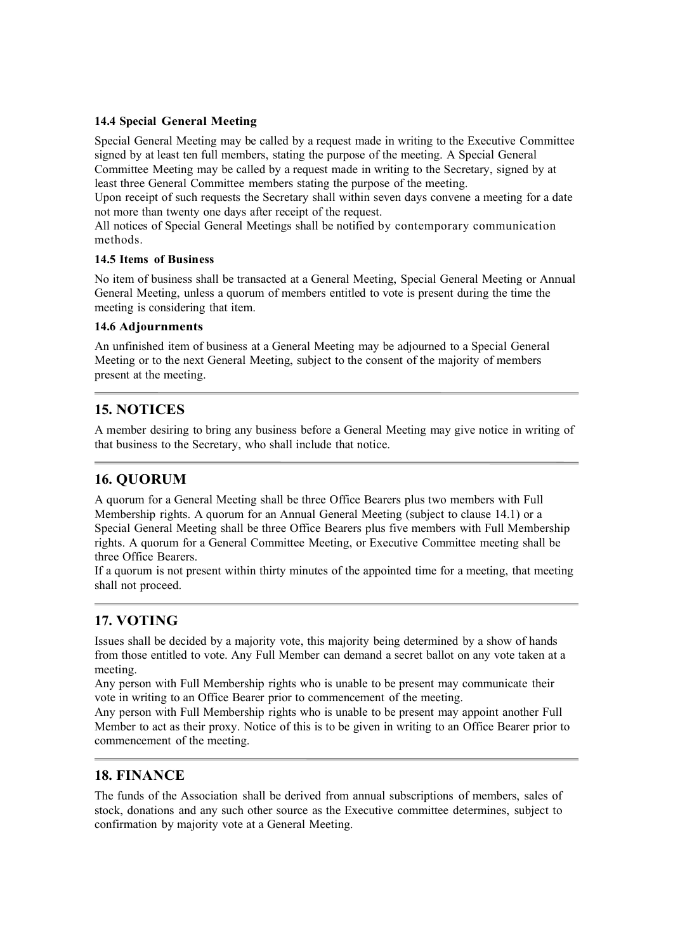#### 14.4 Special General Meeting

Special General Meeting may be called by a request made in writing to the Executive Committee signed by at least ten full members, stating the purpose of the meeting. A Special General Committee Meeting may be called by a request made in writing to the Secretary, signed by at least three General Committee members stating the purpose of the meeting.

Upon receipt of such requests the Secretary shall within seven days convene a meeting for a date not more than twenty one days after receipt of the request.

All notices of Special General Meetings shall be notified by contemporary communication methods.

#### 14.5 Items of Business

No item of business shall be transacted at a General Meeting, Special General Meeting or Annual General Meeting, unless a quorum of members entitled to vote is present during the time the meeting is considering that item.

#### 14.6 Adjournments

An unfinished item of business at a General Meeting may be adjourned to a Special General Meeting or to the next General Meeting, subject to the consent of the majority of members present at the meeting.

### 15. NOTICES

A member desiring to bring any business before a General Meeting may give notice in writing of that business to the Secretary, who shall include that notice.

### 16. QUORUM

A quorum for a General Meeting shall be three Office Bearers plus two members with Full Membership rights. A quorum for an Annual General Meeting (subject to clause 14.1) or a Special General Meeting shall be three Office Bearers plus five members with Full Membership rights. A quorum for a General Committee Meeting, or Executive Committee meeting shall be three Office Bearers.

If a quorum is not present within thirty minutes of the appointed time for a meeting, that meeting shall not proceed.

# 17. VOTING

Issues shall be decided by a majority vote, this majority being determined by a show of hands from those entitled to vote. Any Full Member can demand a secret ballot on any vote taken at a meeting.

Any person with Full Membership rights who is unable to be present may communicate their vote in writing to an Office Bearer prior to commencement of the meeting.

Any person with Full Membership rights who is unable to be present may appoint another Full Member to act as their proxy. Notice of this is to be given in writing to an Office Bearer prior to commencement of the meeting.

### 18. FINANCE

The funds of the Association shall be derived from annual subscriptions of members, sales of stock, donations and any such other source as the Executive committee determines, subject to confirmation by majority vote at a General Meeting.